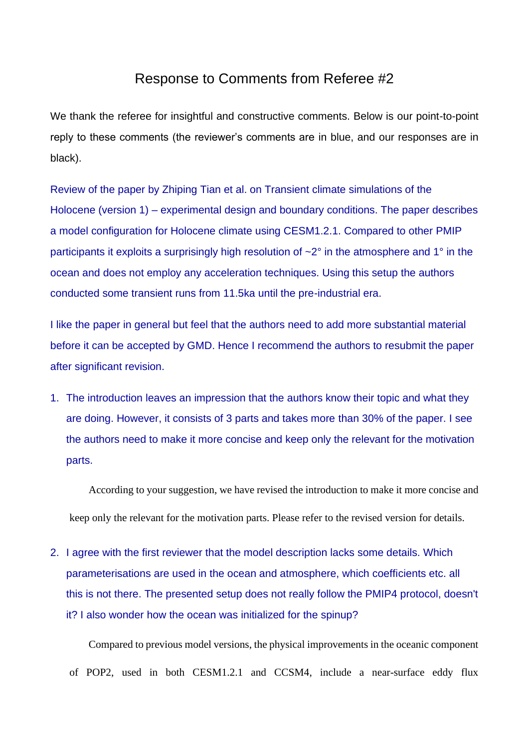## Response to Comments from Referee #2

We thank the referee for insightful and constructive comments. Below is our point-to-point reply to these comments (the reviewer's comments are in blue, and our responses are in black).

Review of the paper by Zhiping Tian et al. on Transient climate simulations of the Holocene (version 1) – experimental design and boundary conditions. The paper describes a model configuration for Holocene climate using CESM1.2.1. Compared to other PMIP participants it exploits a surprisingly high resolution of ~2° in the atmosphere and 1° in the ocean and does not employ any acceleration techniques. Using this setup the authors conducted some transient runs from 11.5ka until the pre-industrial era.

I like the paper in general but feel that the authors need to add more substantial material before it can be accepted by GMD. Hence I recommend the authors to resubmit the paper after significant revision.

1. The introduction leaves an impression that the authors know their topic and what they are doing. However, it consists of 3 parts and takes more than 30% of the paper. I see the authors need to make it more concise and keep only the relevant for the motivation parts.

According to your suggestion, we have revised the introduction to make it more concise and keep only the relevant for the motivation parts. Please refer to the revised version for details.

2. I agree with the first reviewer that the model description lacks some details. Which parameterisations are used in the ocean and atmosphere, which coefficients etc. all this is not there. The presented setup does not really follow the PMIP4 protocol, doesn't it? I also wonder how the ocean was initialized for the spinup?

Compared to previous model versions, the physical improvements in the oceanic component of POP2, used in both CESM1.2.1 and CCSM4, include a near-surface eddy flux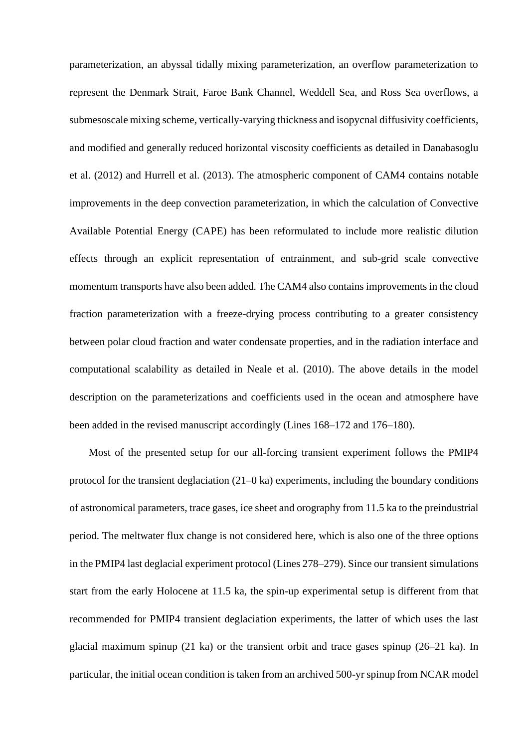parameterization, an abyssal tidally mixing parameterization, an overflow parameterization to represent the Denmark Strait, Faroe Bank Channel, Weddell Sea, and Ross Sea overflows, a submesoscale mixing scheme, vertically-varying thickness and isopycnal diffusivity coefficients, and modified and generally reduced horizontal viscosity coefficients as detailed in Danabasoglu et al. (2012) and Hurrell et al. (2013). The atmospheric component of CAM4 contains notable improvements in the deep convection parameterization, in which the calculation of Convective Available Potential Energy (CAPE) has been reformulated to include more realistic dilution effects through an explicit representation of entrainment, and sub-grid scale convective momentum transports have also been added. The CAM4 also contains improvements in the cloud fraction parameterization with a freeze-drying process contributing to a greater consistency between polar cloud fraction and water condensate properties, and in the radiation interface and computational scalability as detailed in Neale et al. (2010). The above details in the model description on the parameterizations and coefficients used in the ocean and atmosphere have been added in the revised manuscript accordingly (Lines 168–172 and 176–180).

Most of the presented setup for our all-forcing transient experiment follows the PMIP4 protocol for the transient deglaciation (21–0 ka) experiments, including the boundary conditions of astronomical parameters, trace gases, ice sheet and orography from 11.5 ka to the preindustrial period. The meltwater flux change is not considered here, which is also one of the three options in the PMIP4 last deglacial experiment protocol (Lines 278–279). Since our transient simulations start from the early Holocene at 11.5 ka, the spin-up experimental setup is different from that recommended for PMIP4 transient deglaciation experiments, the latter of which uses the last glacial maximum spinup (21 ka) or the transient orbit and trace gases spinup (26–21 ka). In particular, the initial ocean condition is taken from an archived 500-yr spinup from NCAR model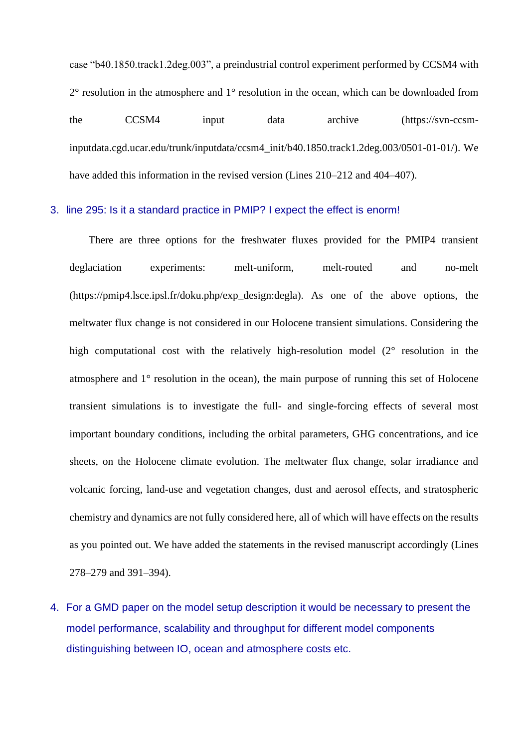case "b40.1850.track1.2deg.003", a preindustrial control experiment performed by CCSM4 with 2° resolution in the atmosphere and 1° resolution in the ocean, which can be downloaded from the CCSM4 input data archive (https://svn-ccsminputdata.cgd.ucar.edu/trunk/inputdata/ccsm4\_init/b40.1850.track1.2deg.003/0501-01-01/). We have added this information in the revised version (Lines 210–212 and 404–407).

## 3. line 295: Is it a standard practice in PMIP? I expect the effect is enorm!

There are three options for the freshwater fluxes provided for the PMIP4 transient deglaciation experiments: melt-uniform, melt-routed and no-melt (https://pmip4.lsce.ipsl.fr/doku.php/exp\_design:degla). As one of the above options, the meltwater flux change is not considered in our Holocene transient simulations. Considering the high computational cost with the relatively high-resolution model (2° resolution in the atmosphere and 1° resolution in the ocean), the main purpose of running this set of Holocene transient simulations is to investigate the full- and single-forcing effects of several most important boundary conditions, including the orbital parameters, GHG concentrations, and ice sheets, on the Holocene climate evolution. The meltwater flux change, solar irradiance and volcanic forcing, land-use and vegetation changes, dust and aerosol effects, and stratospheric chemistry and dynamics are not fully considered here, all of which will have effects on the results as you pointed out. We have added the statements in the revised manuscript accordingly (Lines 278–279 and 391–394).

4. For a GMD paper on the model setup description it would be necessary to present the model performance, scalability and throughput for different model components distinguishing between IO, ocean and atmosphere costs etc.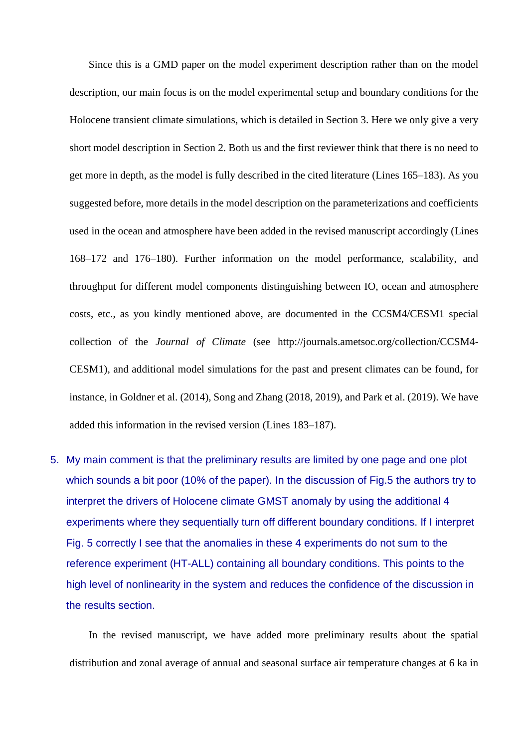Since this is a GMD paper on the model experiment description rather than on the model description, our main focus is on the model experimental setup and boundary conditions for the Holocene transient climate simulations, which is detailed in Section 3. Here we only give a very short model description in Section 2. Both us and the first reviewer think that there is no need to get more in depth, as the model is fully described in the cited literature (Lines 165–183). As you suggested before, more details in the model description on the parameterizations and coefficients used in the ocean and atmosphere have been added in the revised manuscript accordingly (Lines 168–172 and 176–180). Further information on the model performance, scalability, and throughput for different model components distinguishing between IO, ocean and atmosphere costs, etc., as you kindly mentioned above, are documented in the CCSM4/CESM1 special collection of the *Journal of Climate* (see http://journals.ametsoc.org/collection/CCSM4- CESM1), and additional model simulations for the past and present climates can be found, for instance, in Goldner et al. (2014), Song and Zhang (2018, 2019), and Park et al. (2019). We have added this information in the revised version (Lines 183–187).

5. My main comment is that the preliminary results are limited by one page and one plot which sounds a bit poor (10% of the paper). In the discussion of Fig.5 the authors try to interpret the drivers of Holocene climate GMST anomaly by using the additional 4 experiments where they sequentially turn off different boundary conditions. If I interpret Fig. 5 correctly I see that the anomalies in these 4 experiments do not sum to the reference experiment (HT-ALL) containing all boundary conditions. This points to the high level of nonlinearity in the system and reduces the confidence of the discussion in the results section.

In the revised manuscript, we have added more preliminary results about the spatial distribution and zonal average of annual and seasonal surface air temperature changes at 6 ka in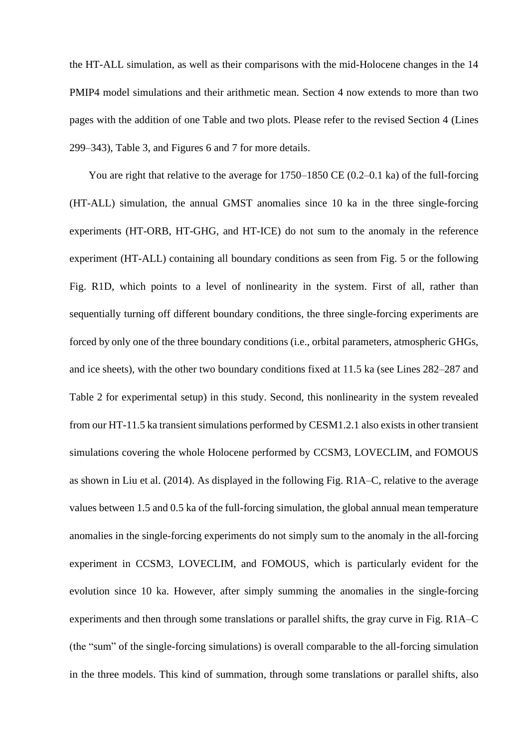the HT-ALL simulation, as well as their comparisons with the mid-Holocene changes in the 14 PMIP4 model simulations and their arithmetic mean. Section 4 now extends to more than two pages with the addition of one Table and two plots. Please refer to the revised Section 4 (Lines 299–343), Table 3, and Figures 6 and 7 for more details.

You are right that relative to the average for 1750–1850 CE (0.2–0.1 ka) of the full-forcing (HT-ALL) simulation, the annual GMST anomalies since 10 ka in the three single-forcing experiments (HT-ORB, HT-GHG, and HT-ICE) do not sum to the anomaly in the reference experiment (HT-ALL) containing all boundary conditions as seen from Fig. 5 or the following Fig. R1D, which points to a level of nonlinearity in the system. First of all, rather than sequentially turning off different boundary conditions, the three single-forcing experiments are forced by only one of the three boundary conditions (i.e., orbital parameters, atmospheric GHGs, and ice sheets), with the other two boundary conditions fixed at 11.5 ka (see Lines 282–287 and Table 2 for experimental setup) in this study. Second, this nonlinearity in the system revealed from our HT-11.5 ka transient simulations performed by CESM1.2.1 also exists in other transient simulations covering the whole Holocene performed by CCSM3, LOVECLIM, and FOMOUS as shown in Liu et al. (2014). As displayed in the following Fig. R1A–C, relative to the average values between 1.5 and 0.5 ka of the full-forcing simulation, the global annual mean temperature anomalies in the single-forcing experiments do not simply sum to the anomaly in the all-forcing experiment in CCSM3, LOVECLIM, and FOMOUS, which is particularly evident for the evolution since 10 ka. However, after simply summing the anomalies in the single-forcing experiments and then through some translations or parallel shifts, the gray curve in Fig. R1A–C (the "sum" of the single-forcing simulations) is overall comparable to the all-forcing simulation in the three models. This kind of summation, through some translations or parallel shifts, also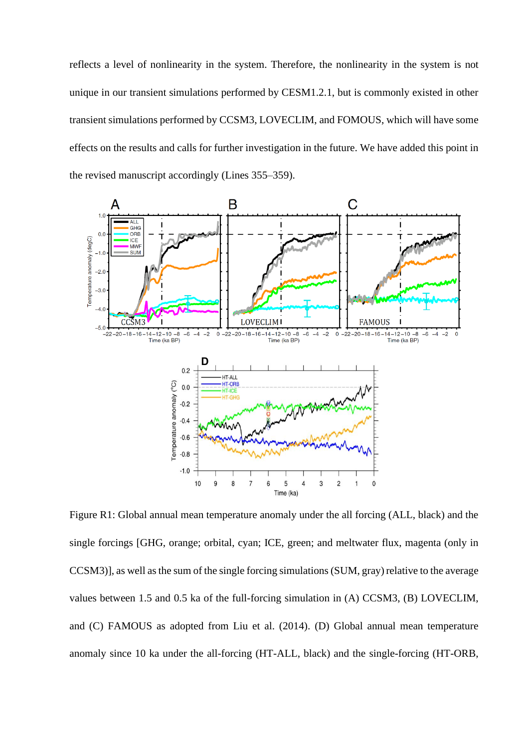reflects a level of nonlinearity in the system. Therefore, the nonlinearity in the system is not unique in our transient simulations performed by CESM1.2.1, but is commonly existed in other transient simulations performed by CCSM3, LOVECLIM, and FOMOUS, which will have some effects on the results and calls for further investigation in the future. We have added this point in the revised manuscript accordingly (Lines 355–359).



Figure R1: Global annual mean temperature anomaly under the all forcing (ALL, black) and the single forcings [GHG, orange; orbital, cyan; ICE, green; and meltwater flux, magenta (only in CCSM3), as well as the sum of the single forcing simulations (SUM, gray) relative to the average values between 1.5 and 0.5 ka of the full-forcing simulation in (A) CCSM3, (B) LOVECLIM, and (C) FAMOUS as adopted from Liu et al. (2014). (D) Global annual mean temperature anomaly since 10 ka under the all-forcing (HT-ALL, black) and the single-forcing (HT-ORB,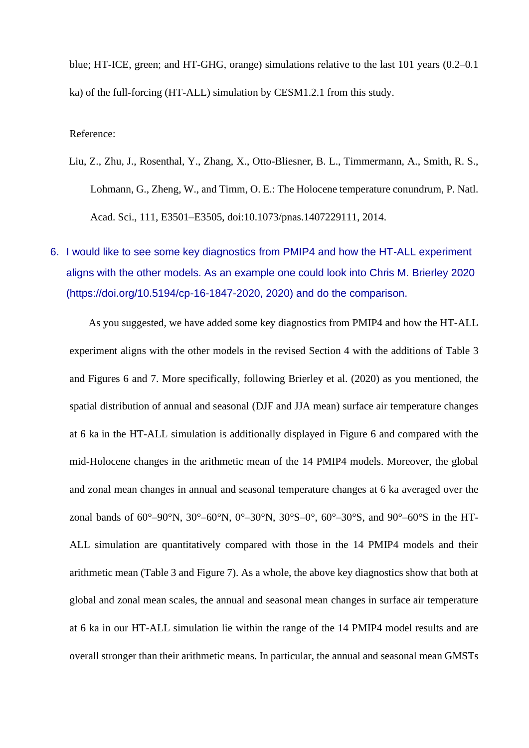blue; HT-ICE, green; and HT-GHG, orange) simulations relative to the last 101 years (0.2–0.1 ka) of the full-forcing (HT-ALL) simulation by CESM1.2.1 from this study.

## Reference:

- Liu, Z., Zhu, J., Rosenthal, Y., Zhang, X., Otto-Bliesner, B. L., Timmermann, A., Smith, R. S., Lohmann, G., Zheng, W., and Timm, O. E.: The Holocene temperature conundrum, P. Natl. Acad. Sci., 111, E3501–E3505, doi:10.1073/pnas.1407229111, 2014.
- 6. I would like to see some key diagnostics from PMIP4 and how the HT-ALL experiment aligns with the other models. As an example one could look into Chris M. Brierley 2020 (https://doi.org/10.5194/cp-16-1847-2020, 2020) and do the comparison.

As you suggested, we have added some key diagnostics from PMIP4 and how the HT-ALL experiment aligns with the other models in the revised Section 4 with the additions of Table 3 and Figures 6 and 7. More specifically, following Brierley et al. (2020) as you mentioned, the spatial distribution of annual and seasonal (DJF and JJA mean) surface air temperature changes at 6 ka in the HT-ALL simulation is additionally displayed in Figure 6 and compared with the mid-Holocene changes in the arithmetic mean of the 14 PMIP4 models. Moreover, the global and zonal mean changes in annual and seasonal temperature changes at 6 ka averaged over the zonal bands of  $60^{\circ} - 90^{\circ}N$ ,  $30^{\circ} - 60^{\circ}N$ ,  $0^{\circ} - 30^{\circ}N$ ,  $30^{\circ}S - 0^{\circ}$ ,  $60^{\circ} - 30^{\circ}S$ , and  $90^{\circ} - 60^{\circ}S$  in the HT-ALL simulation are quantitatively compared with those in the 14 PMIP4 models and their arithmetic mean (Table 3 and Figure 7). As a whole, the above key diagnostics show that both at global and zonal mean scales, the annual and seasonal mean changes in surface air temperature at 6 ka in our HT-ALL simulation lie within the range of the 14 PMIP4 model results and are overall stronger than their arithmetic means. In particular, the annual and seasonal mean GMSTs